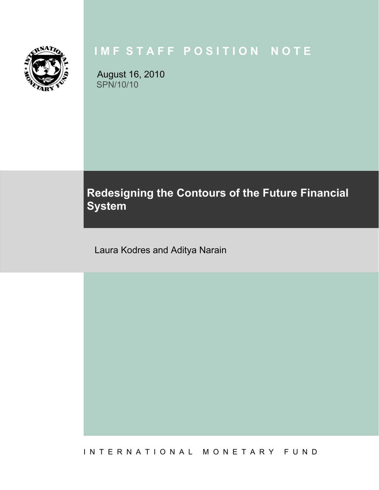

# **I M F S T A F F P O S I T I O N N O T E**

August 16, 2010 SPN/10/10

# **Redesigning the Contours of the Future Financial System**

Laura Kodres and Aditya Narain

I N T E R N A T I O N A L M O N E T A R Y F U N D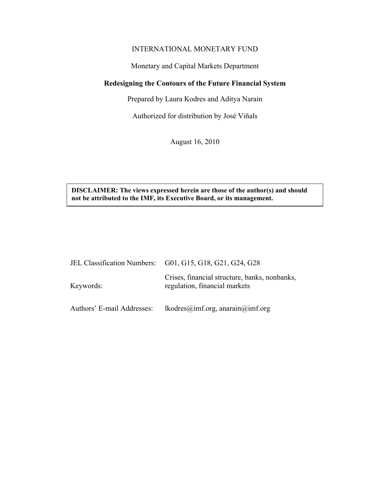## INTERNATIONAL MONETARY FUND

Monetary and Capital Markets Department

# **Redesigning the Contours of the Future Financial System**

Prepared by Laura Kodres and Aditya Narain

Authorized for distribution by José Viñals

August 16, 2010

**DISCLAIMER: The views expressed herein are those of the author(s) and should not be attributed to the IMF, its Executive Board, or its management.** 

|                            | JEL Classification Numbers: G01, G15, G18, G21, G24, G28                       |
|----------------------------|--------------------------------------------------------------------------------|
| Keywords:                  | Crises, financial structure, banks, nonbanks,<br>regulation, financial markets |
| Authors' E-mail Addresses: | lkodres@imf.org, anarain@imf.org                                               |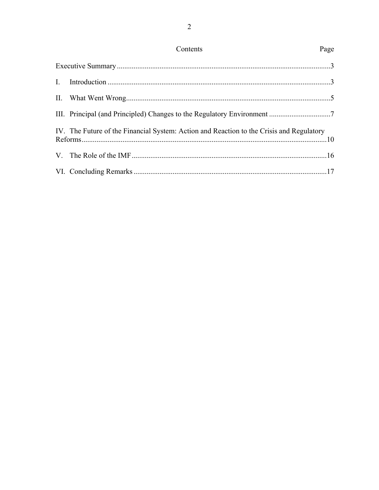| IV. The Future of the Financial System: Action and Reaction to the Crisis and Regulatory |  |
|------------------------------------------------------------------------------------------|--|
|                                                                                          |  |
|                                                                                          |  |

Contents

Page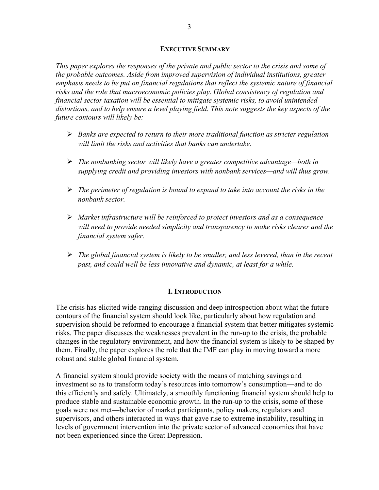#### **EXECUTIVE SUMMARY**

*This paper explores the responses of the private and public sector to the crisis and some of the probable outcomes. Aside from improved supervision of individual institutions, greater emphasis needs to be put on financial regulations that reflect the systemic nature of financial risks and the role that macroeconomic policies play. Global consistency of regulation and financial sector taxation will be essential to mitigate systemic risks, to avoid unintended distortions, and to help ensure a level playing field. This note suggests the key aspects of the future contours will likely be:* 

- *Banks are expected to return to their more traditional function as stricter regulation will limit the risks and activities that banks can undertake.*
- *The nonbanking sector will likely have a greater competitive advantage—both in supplying credit and providing investors with nonbank services—and will thus grow.*
- *The perimeter of regulation is bound to expand to take into account the risks in the nonbank sector.*
- *Market infrastructure will be reinforced to protect investors and as a consequence will need to provide needed simplicity and transparency to make risks clearer and the financial system safer.*
- *The global financial system is likely to be smaller, and less levered, than in the recent past, and could well be less innovative and dynamic, at least for a while.*

## **I. INTRODUCTION**

The crisis has elicited wide-ranging discussion and deep introspection about what the future contours of the financial system should look like, particularly about how regulation and supervision should be reformed to encourage a financial system that better mitigates systemic risks. The paper discusses the weaknesses prevalent in the run-up to the crisis, the probable changes in the regulatory environment, and how the financial system is likely to be shaped by them. Finally, the paper explores the role that the IMF can play in moving toward a more robust and stable global financial system.

A financial system should provide society with the means of matching savings and investment so as to transform today's resources into tomorrow's consumption—and to do this efficiently and safely. Ultimately, a smoothly functioning financial system should help to produce stable and sustainable economic growth. In the run-up to the crisis, some of these goals were not met—behavior of market participants, policy makers, regulators and supervisors, and others interacted in ways that gave rise to extreme instability, resulting in levels of government intervention into the private sector of advanced economies that have not been experienced since the Great Depression.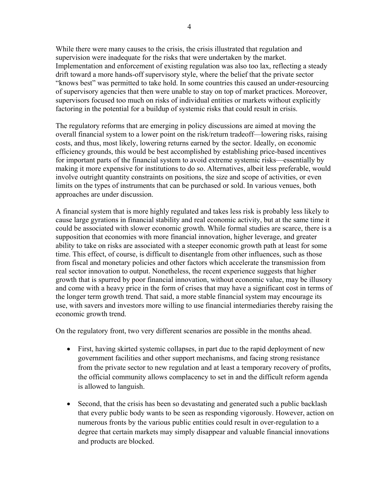While there were many causes to the crisis, the crisis illustrated that regulation and supervision were inadequate for the risks that were undertaken by the market. Implementation and enforcement of existing regulation was also too lax, reflecting a steady drift toward a more hands-off supervisory style, where the belief that the private sector "knows best" was permitted to take hold. In some countries this caused an under-resourcing of supervisory agencies that then were unable to stay on top of market practices. Moreover, supervisors focused too much on risks of individual entities or markets without explicitly factoring in the potential for a buildup of systemic risks that could result in crisis.

The regulatory reforms that are emerging in policy discussions are aimed at moving the overall financial system to a lower point on the risk/return tradeoff—lowering risks, raising costs, and thus, most likely, lowering returns earned by the sector. Ideally, on economic efficiency grounds, this would be best accomplished by establishing price-based incentives for important parts of the financial system to avoid extreme systemic risks—essentially by making it more expensive for institutions to do so. Alternatives, albeit less preferable, would involve outright quantity constraints on positions, the size and scope of activities, or even limits on the types of instruments that can be purchased or sold. In various venues, both approaches are under discussion.

A financial system that is more highly regulated and takes less risk is probably less likely to cause large gyrations in financial stability and real economic activity, but at the same time it could be associated with slower economic growth. While formal studies are scarce, there is a supposition that economies with more financial innovation, higher leverage, and greater ability to take on risks are associated with a steeper economic growth path at least for some time. This effect, of course, is difficult to disentangle from other influences, such as those from fiscal and monetary policies and other factors which accelerate the transmission from real sector innovation to output. Nonetheless, the recent experience suggests that higher growth that is spurred by poor financial innovation, without economic value, may be illusory and come with a heavy price in the form of crises that may have a significant cost in terms of the longer term growth trend. That said, a more stable financial system may encourage its use, with savers and investors more willing to use financial intermediaries thereby raising the economic growth trend.

On the regulatory front, two very different scenarios are possible in the months ahead.

- First, having skirted systemic collapses, in part due to the rapid deployment of new government facilities and other support mechanisms, and facing strong resistance from the private sector to new regulation and at least a temporary recovery of profits, the official community allows complacency to set in and the difficult reform agenda is allowed to languish.
- Second, that the crisis has been so devastating and generated such a public backlash that every public body wants to be seen as responding vigorously. However, action on numerous fronts by the various public entities could result in over-regulation to a degree that certain markets may simply disappear and valuable financial innovations and products are blocked.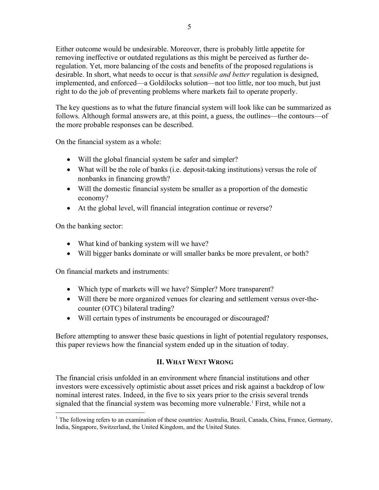Either outcome would be undesirable. Moreover, there is probably little appetite for removing ineffective or outdated regulations as this might be perceived as further deregulation. Yet, more balancing of the costs and benefits of the proposed regulations is desirable. In short, what needs to occur is that *sensible and better* regulation is designed, implemented, and enforced—a Goldilocks solution—not too little, nor too much, but just right to do the job of preventing problems where markets fail to operate properly.

The key questions as to what the future financial system will look like can be summarized as follows. Although formal answers are, at this point, a guess, the outlines—the contours—of the more probable responses can be described.

On the financial system as a whole:

- Will the global financial system be safer and simpler?
- What will be the role of banks (i.e. deposit-taking institutions) versus the role of nonbanks in financing growth?
- Will the domestic financial system be smaller as a proportion of the domestic economy?
- At the global level, will financial integration continue or reverse?

On the banking sector:

- What kind of banking system will we have?
- Will bigger banks dominate or will smaller banks be more prevalent, or both?

On financial markets and instruments:

- Which type of markets will we have? Simpler? More transparent?
- Will there be more organized venues for clearing and settlement versus over-thecounter (OTC) bilateral trading?
- Will certain types of instruments be encouraged or discouraged?

Before attempting to answer these basic questions in light of potential regulatory responses, this paper reviews how the financial system ended up in the situation of today.

# **II. WHAT WENT WRONG**

The financial crisis unfolded in an environment where financial institutions and other investors were excessively optimistic about asset prices and risk against a backdrop of low nominal interest rates. Indeed, in the five to six years prior to the crisis several trends signaled that the financial system was becoming more vulnerable.<sup>1</sup> First, while not a

 $\overline{a}$ <sup>1</sup> The following refers to an examination of these countries: Australia, Brazil, Canada, China, France, Germany, India, Singapore, Switzerland, the United Kingdom, and the United States.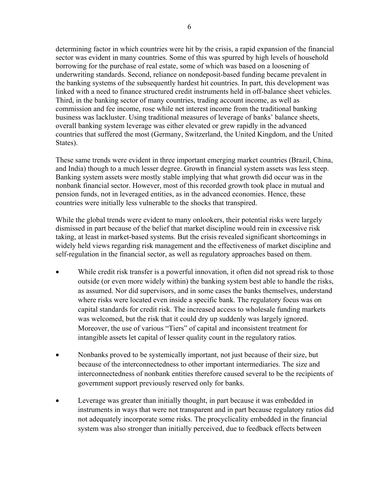determining factor in which countries were hit by the crisis, a rapid expansion of the financial sector was evident in many countries. Some of this was spurred by high levels of household borrowing for the purchase of real estate, some of which was based on a loosening of underwriting standards. Second, reliance on nondeposit-based funding became prevalent in the banking systems of the subsequently hardest hit countries. In part, this development was linked with a need to finance structured credit instruments held in off-balance sheet vehicles. Third, in the banking sector of many countries, trading account income, as well as commission and fee income, rose while net interest income from the traditional banking business was lackluster. Using traditional measures of leverage of banks' balance sheets, overall banking system leverage was either elevated or grew rapidly in the advanced countries that suffered the most (Germany, Switzerland, the United Kingdom, and the United States).

These same trends were evident in three important emerging market countries (Brazil, China, and India) though to a much lesser degree. Growth in financial system assets was less steep. Banking system assets were mostly stable implying that what growth did occur was in the nonbank financial sector. However, most of this recorded growth took place in mutual and pension funds, not in leveraged entities, as in the advanced economies. Hence, these countries were initially less vulnerable to the shocks that transpired.

While the global trends were evident to many onlookers, their potential risks were largely dismissed in part because of the belief that market discipline would rein in excessive risk taking, at least in market-based systems. But the crisis revealed significant shortcomings in widely held views regarding risk management and the effectiveness of market discipline and self-regulation in the financial sector, as well as regulatory approaches based on them.

- While credit risk transfer is a powerful innovation, it often did not spread risk to those outside (or even more widely within) the banking system best able to handle the risks, as assumed. Nor did supervisors, and in some cases the banks themselves, understand where risks were located even inside a specific bank. The regulatory focus was on capital standards for credit risk. The increased access to wholesale funding markets was welcomed, but the risk that it could dry up suddenly was largely ignored. Moreover, the use of various "Tiers" of capital and inconsistent treatment for intangible assets let capital of lesser quality count in the regulatory ratios.
- Nonbanks proved to be systemically important, not just because of their size, but because of the interconnectedness to other important intermediaries. The size and interconnectedness of nonbank entities therefore caused several to be the recipients of government support previously reserved only for banks.
- Leverage was greater than initially thought, in part because it was embedded in instruments in ways that were not transparent and in part because regulatory ratios did not adequately incorporate some risks. The procyclicality embedded in the financial system was also stronger than initially perceived, due to feedback effects between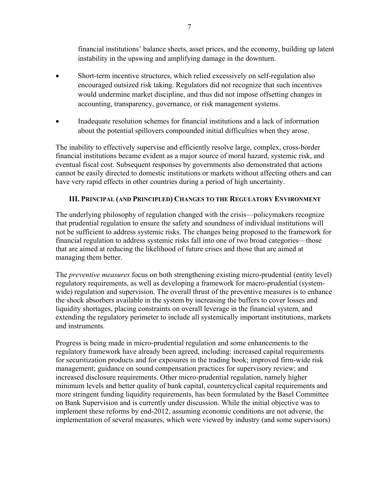financial institutions' balance sheets, asset prices, and the economy, building up latent instability in the upswing and amplifying damage in the downturn.

- Short-term incentive structures, which relied excessively on self-regulation also encouraged outsized risk taking. Regulators did not recognize that such incentives would undermine market discipline, and thus did not impose offsetting changes in accounting, transparency, governance, or risk management systems.
- Inadequate resolution schemes for financial institutions and a lack of information about the potential spillovers compounded initial difficulties when they arose.

The inability to effectively supervise and efficiently resolve large, complex, cross-border financial institutions became evident as a major source of moral hazard, systemic risk, and eventual fiscal cost. Subsequent responses by governments also demonstrated that actions cannot be easily directed to domestic institutions or markets without affecting others and can have very rapid effects in other countries during a period of high uncertainty.

# **III. PRINCIPAL (AND PRINCIPLED) CHANGES TO THE REGULATORY ENVIRONMENT**

The underlying philosophy of regulation changed with the crisis—policymakers recognize that prudential regulation to ensure the safety and soundness of individual institutions will not be sufficient to address systemic risks. The changes being proposed to the framework for financial regulation to address systemic risks fall into one of two broad categories—those that are aimed at reducing the likelihood of future crises and those that are aimed at managing them better.

The *preventive measures* focus on both strengthening existing micro-prudential (entity level) regulatory requirements, as well as developing a framework for macro-prudential (systemwide) regulation and supervision. The overall thrust of the preventive measures is to enhance the shock absorbers available in the system by increasing the buffers to cover losses and liquidity shortages, placing constraints on overall leverage in the financial system, and extending the regulatory perimeter to include all systemically important institutions, markets and instruments.

Progress is being made in micro-prudential regulation and some enhancements to the regulatory framework have already been agreed, including: increased capital requirements for securitization products and for exposures in the trading book; improved firm-wide risk management; guidance on sound compensation practices for supervisory review; and increased disclosure requirements. Other micro-prudential regulation, namely higher minimum levels and better quality of bank capital, countercyclical capital requirements and more stringent funding liquidity requirements, has been formulated by the Basel Committee on Bank Supervision and is currently under discussion. While the initial objective was to implement these reforms by end-2012, assuming economic conditions are not adverse, the implementation of several measures, which were viewed by industry (and some supervisors)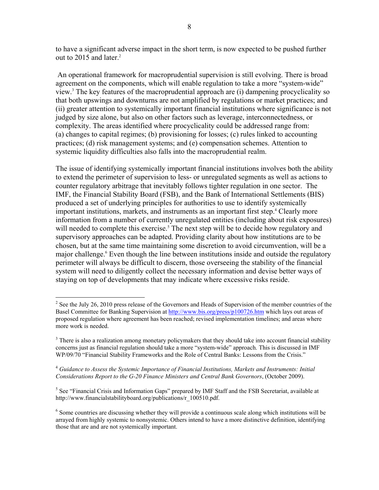to have a significant adverse impact in the short term, is now expected to be pushed further out to 2015 and later.<sup>2</sup>

 An operational framework for macroprudential supervision is still evolving. There is broad agreement on the components, which will enable regulation to take a more "system-wide" view.3 The key features of the macroprudential approach are (i) dampening procyclicality so that both upswings and downturns are not amplified by regulations or market practices; and (ii) greater attention to systemically important financial institutions where significance is not judged by size alone, but also on other factors such as leverage, interconnectedness, or complexity. The areas identified where procyclicality could be addressed range from: (a) changes to capital regimes; (b) provisioning for losses; (c) rules linked to accounting practices; (d) risk management systems; and (e) compensation schemes. Attention to systemic liquidity difficulties also falls into the macroprudential realm.

The issue of identifying systemically important financial institutions involves both the ability to extend the perimeter of supervision to less- or unregulated segments as well as actions to counter regulatory arbitrage that inevitably follows tighter regulation in one sector. The IMF, the Financial Stability Board (FSB), and the Bank of International Settlements (BIS) produced a set of underlying principles for authorities to use to identify systemically important institutions, markets, and instruments as an important first step.<sup>4</sup> Clearly more information from a number of currently unregulated entities (including about risk exposures) will needed to complete this exercise.<sup>5</sup> The next step will be to decide how regulatory and supervisory approaches can be adapted. Providing clarity about how institutions are to be chosen, but at the same time maintaining some discretion to avoid circumvention, will be a major challenge.<sup>6</sup> Even though the line between institutions inside and outside the regulatory perimeter will always be difficult to discern, those overseeing the stability of the financial system will need to diligently collect the necessary information and devise better ways of staying on top of developments that may indicate where excessive risks reside.

1

 $2^2$  See the July 26, 2010 press release of the Governors and Heads of Supervision of the member countries of the Basel Committee for Banking Supervision at http://www.bis.org/press/p100726.htm which lays out areas of proposed regulation where agreement has been reached; revised implementation timelines; and areas where more work is needed.

 $3$  There is also a realization among monetary policymakers that they should take into account financial stability concerns just as financial regulation should take a more "system-wide" approach. This is discussed in IMF WP/09/70 "Financial Stability Frameworks and the Role of Central Banks: Lessons from the Crisis."

<sup>4</sup> *Guidance to Assess the Systemic Importance of Financial Institutions, Markets and Instruments: Initial Considerations Report to the G-20 Finance Ministers and Central Bank Governors*, (October 2009).

<sup>&</sup>lt;sup>5</sup> See "Financial Crisis and Information Gaps" prepared by IMF Staff and the FSB Secretariat, available at http://www.financialstabilityboard.org/publications/r\_100510.pdf.

<sup>&</sup>lt;sup>6</sup> Some countries are discussing whether they will provide a continuous scale along which institutions will be arrayed from highly systemic to nonsystemic. Others intend to have a more distinctive definition, identifying those that are and are not systemically important.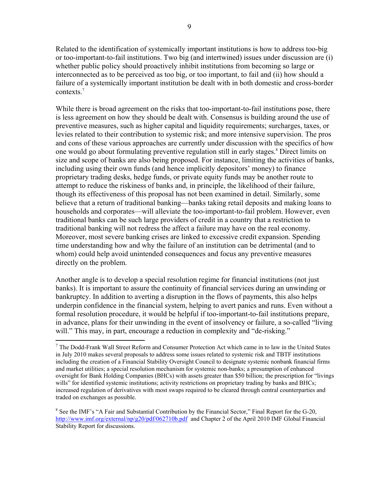Related to the identification of systemically important institutions is how to address too-big or too-important-to-fail institutions. Two big (and intertwined) issues under discussion are (i) whether public policy should proactively inhibit institutions from becoming so large or interconnected as to be perceived as too big, or too important, to fail and (ii) how should a failure of a systemically important institution be dealt with in both domestic and cross-border contexts.<sup>7</sup>

While there is broad agreement on the risks that too-important-to-fail institutions pose, there is less agreement on how they should be dealt with. Consensus is building around the use of preventive measures, such as higher capital and liquidity requirements; surcharges, taxes, or levies related to their contribution to systemic risk; and more intensive supervision. The pros and cons of these various approaches are currently under discussion with the specifics of how one would go about formulating preventive regulation still in early stages.<sup>8</sup> Direct limits on size and scope of banks are also being proposed. For instance, limiting the activities of banks, including using their own funds (and hence implicitly depositors' money) to finance proprietary trading desks, hedge funds, or private equity funds may be another route to attempt to reduce the riskiness of banks and, in principle, the likelihood of their failure, though its effectiveness of this proposal has not been examined in detail. Similarly, some believe that a return of traditional banking—banks taking retail deposits and making loans to households and corporates—will alleviate the too-important-to-fail problem. However, even traditional banks can be such large providers of credit in a country that a restriction to traditional banking will not redress the affect a failure may have on the real economy. Moreover, most severe banking crises are linked to excessive credit expansion. Spending time understanding how and why the failure of an institution can be detrimental (and to whom) could help avoid unintended consequences and focus any preventive measures directly on the problem.

Another angle is to develop a special resolution regime for financial institutions (not just banks). It is important to assure the continuity of financial services during an unwinding or bankruptcy. In addition to averting a disruption in the flows of payments, this also helps underpin confidence in the financial system, helping to avert panics and runs. Even without a formal resolution procedure, it would be helpful if too-important-to-fail institutions prepare, in advance, plans for their unwinding in the event of insolvency or failure, a so-called "living will." This may, in part, encourage a reduction in complexity and "de-risking."

 $\overline{a}$ 

<sup>&</sup>lt;sup>7</sup> The Dodd-Frank Wall Street Reform and Consumer Protection Act which came in to law in the United States in July 2010 makes several proposals to address some issues related to systemic risk and TBTF institutions including the creation of a Financial Stability Oversight Council to designate systemic nonbank financial firms and market utilities; a special resolution mechanism for systemic non-banks; a presumption of enhanced oversight for Bank Holding Companies (BHCs) with assets greater than \$50 billion; the prescription for "livings wills" for identified systemic institutions; activity restrictions on proprietary trading by banks and BHCs; increased regulation of derivatives with most swaps required to be cleared through central counterparties and traded on exchanges as possible.

<sup>&</sup>lt;sup>8</sup> See the IMF's "A Fair and Substantial Contribution by the Financial Sector," Final Report for the G-20, http://www.imf.org/external/np/g20/pdf/062710b.pdf and Chapter 2 of the April 2010 IMF Global Financial Stability Report for discussions.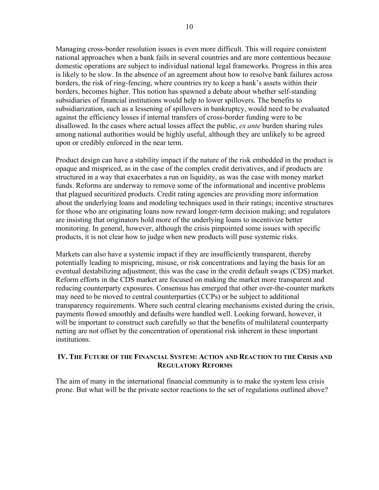Managing cross-border resolution issues is even more difficult. This will require consistent national approaches when a bank fails in several countries and are more contentious because domestic operations are subject to individual national legal frameworks. Progress in this area is likely to be slow. In the absence of an agreement about how to resolve bank failures across borders, the risk of ring-fencing, where countries try to keep a bank's assets within their borders, becomes higher. This notion has spawned a debate about whether self-standing subsidiaries of financial institutions would help to lower spillovers. The benefits to subsidiarization, such as a lessening of spillovers in bankruptcy, would need to be evaluated against the efficiency losses if internal transfers of cross-border funding were to be disallowed. In the cases where actual losses affect the public, *ex ante* burden sharing rules among national authorities would be highly useful, although they are unlikely to be agreed upon or credibly enforced in the near term.

Product design can have a stability impact if the nature of the risk embedded in the product is opaque and mispriced, as in the case of the complex credit derivatives, and if products are structured in a way that exacerbates a run on liquidity, as was the case with money market funds. Reforms are underway to remove some of the informational and incentive problems that plagued securitized products. Credit rating agencies are providing more information about the underlying loans and modeling techniques used in their ratings; incentive structures for those who are originating loans now reward longer-term decision making; and regulators are insisting that originators hold more of the underlying loans to incentivize better monitoring. In general, however, although the crisis pinpointed some issues with specific products, it is not clear how to judge when new products will pose systemic risks.

Markets can also have a systemic impact if they are insufficiently transparent, thereby potentially leading to mispricing, misuse, or risk concentrations and laying the basis for an eventual destabilizing adjustment; this was the case in the credit default swaps (CDS) market. Reform efforts in the CDS market are focused on making the market more transparent and reducing counterparty exposures. Consensus has emerged that other over-the-counter markets may need to be moved to central counterparties (CCPs) or be subject to additional transparency requirements. Where such central clearing mechanisms existed during the crisis, payments flowed smoothly and defaults were handled well. Looking forward, however, it will be important to construct such carefully so that the benefits of multilateral counterparty netting are not offset by the concentration of operational risk inherent in these important institutions.

## **IV. THE FUTURE OF THE FINANCIAL SYSTEM: ACTION AND REACTION TO THE CRISIS AND REGULATORY REFORMS**

The aim of many in the international financial community is to make the system less crisis prone. But what will be the private sector reactions to the set of regulations outlined above?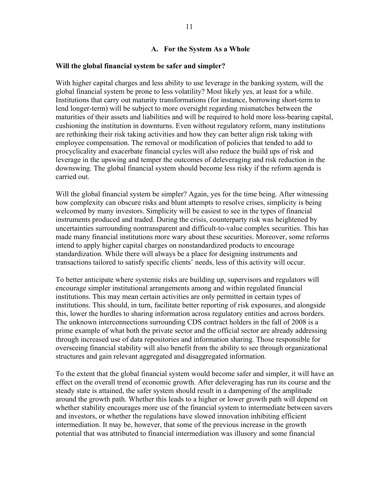#### **A. For the System As a Whole**

#### **Will the global financial system be safer and simpler?**

With higher capital charges and less ability to use leverage in the banking system, will the global financial system be prone to less volatility? Most likely yes, at least for a while. Institutions that carry out maturity transformations (for instance, borrowing short-term to lend longer-term) will be subject to more oversight regarding mismatches between the maturities of their assets and liabilities and will be required to hold more loss-bearing capital, cushioning the institution in downturns. Even without regulatory reform, many institutions are rethinking their risk taking activities and how they can better align risk taking with employee compensation. The removal or modification of policies that tended to add to procyclicality and exacerbate financial cycles will also reduce the build ups of risk and leverage in the upswing and temper the outcomes of deleveraging and risk reduction in the downswing. The global financial system should become less risky if the reform agenda is carried out.

Will the global financial system be simpler? Again, yes for the time being. After witnessing how complexity can obscure risks and blunt attempts to resolve crises, simplicity is being welcomed by many investors. Simplicity will be easiest to see in the types of financial instruments produced and traded. During the crisis, counterparty risk was heightened by uncertainties surrounding nontransparent and difficult-to-value complex securities. This has made many financial institutions more wary about these securities. Moreover, some reforms intend to apply higher capital charges on nonstandardized products to encourage standardization. While there will always be a place for designing instruments and transactions tailored to satisfy specific clients' needs, less of this activity will occur.

To better anticipate where systemic risks are building up, supervisors and regulators will encourage simpler institutional arrangements among and within regulated financial institutions. This may mean certain activities are only permitted in certain types of institutions. This should, in turn, facilitate better reporting of risk exposures, and alongside this, lower the hurdles to sharing information across regulatory entities and across borders. The unknown interconnections surrounding CDS contract holders in the fall of 2008 is a prime example of what both the private sector and the official sector are already addressing through increased use of data repositories and information sharing. Those responsible for overseeing financial stability will also benefit from the ability to see through organizational structures and gain relevant aggregated and disaggregated information.

To the extent that the global financial system would become safer and simpler, it will have an effect on the overall trend of economic growth. After deleveraging has run its course and the steady state is attained, the safer system should result in a dampening of the amplitude around the growth path. Whether this leads to a higher or lower growth path will depend on whether stability encourages more use of the financial system to intermediate between savers and investors, or whether the regulations have slowed innovation inhibiting efficient intermediation. It may be, however, that some of the previous increase in the growth potential that was attributed to financial intermediation was illusory and some financial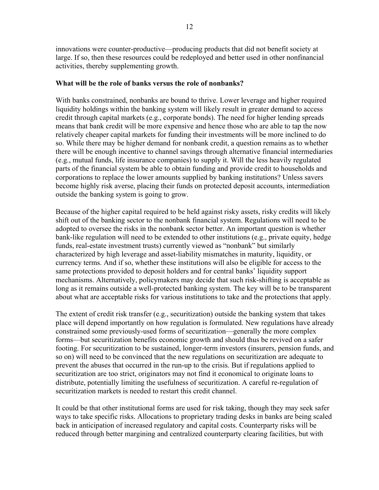innovations were counter-productive—producing products that did not benefit society at large. If so, then these resources could be redeployed and better used in other nonfinancial activities, thereby supplementing growth.

#### **What will be the role of banks versus the role of nonbanks?**

With banks constrained, nonbanks are bound to thrive. Lower leverage and higher required liquidity holdings within the banking system will likely result in greater demand to access credit through capital markets (e.g., corporate bonds). The need for higher lending spreads means that bank credit will be more expensive and hence those who are able to tap the now relatively cheaper capital markets for funding their investments will be more inclined to do so. While there may be higher demand for nonbank credit, a question remains as to whether there will be enough incentive to channel savings through alternative financial intermediaries (e.g., mutual funds, life insurance companies) to supply it. Will the less heavily regulated parts of the financial system be able to obtain funding and provide credit to households and corporations to replace the lower amounts supplied by banking institutions? Unless savers become highly risk averse, placing their funds on protected deposit accounts, intermediation outside the banking system is going to grow.

Because of the higher capital required to be held against risky assets, risky credits will likely shift out of the banking sector to the nonbank financial system. Regulations will need to be adopted to oversee the risks in the nonbank sector better. An important question is whether bank-like regulation will need to be extended to other institutions (e.g., private equity, hedge funds, real-estate investment trusts) currently viewed as "nonbank" but similarly characterized by high leverage and asset-liability mismatches in maturity, liquidity, or currency terms. And if so, whether these institutions will also be eligible for access to the same protections provided to deposit holders and for central banks' liquidity support mechanisms. Alternatively, policymakers may decide that such risk-shifting is acceptable as long as it remains outside a well-protected banking system. The key will be to be transparent about what are acceptable risks for various institutions to take and the protections that apply.

The extent of credit risk transfer (e.g., securitization) outside the banking system that takes place will depend importantly on how regulation is formulated. New regulations have already constrained some previously-used forms of securitization—generally the more complex forms—but securitization benefits economic growth and should thus be revived on a safer footing. For securitization to be sustained, longer-term investors (insurers, pension funds, and so on) will need to be convinced that the new regulations on securitization are adequate to prevent the abuses that occurred in the run-up to the crisis. But if regulations applied to securitization are too strict, originators may not find it economical to originate loans to distribute, potentially limiting the usefulness of securitization. A careful re-regulation of securitization markets is needed to restart this credit channel.

It could be that other institutional forms are used for risk taking, though they may seek safer ways to take specific risks. Allocations to proprietary trading desks in banks are being scaled back in anticipation of increased regulatory and capital costs. Counterparty risks will be reduced through better margining and centralized counterparty clearing facilities, but with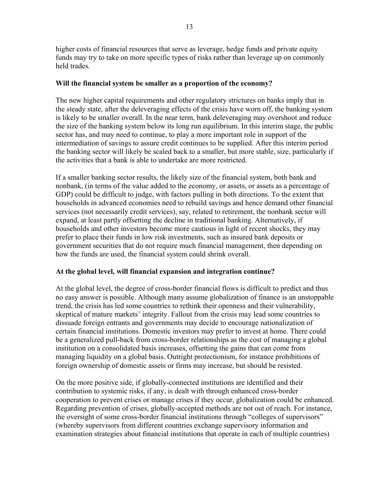higher costs of financial resources that serve as leverage, hedge funds and private equity funds may try to take on more specific types of risks rather than leverage up on commonly held trades.

## **Will the financial system be smaller as a proportion of the economy?**

The new higher capital requirements and other regulatory strictures on banks imply that in the steady state, after the deleveraging effects of the crisis have worn off, the banking system is likely to be smaller overall. In the near term, bank deleveraging may overshoot and reduce the size of the banking system below its long run equilibrium. In this interim stage, the public sector has, and may need to continue, to play a more important role in support of the intermediation of savings to assure credit continues to be supplied. After this interim period the banking sector will likely be scaled back to a smaller, but more stable, size, particularly if the activities that a bank is able to undertake are more restricted.

If a smaller banking sector results, the likely size of the financial system, both bank and nonbank, (in terms of the value added to the economy, or assets, or assets as a percentage of GDP) could be difficult to judge, with factors pulling in both directions. To the extent that households in advanced economies need to rebuild savings and hence demand other financial services (not necessarily credit services), say, related to retirement, the nonbank sector will expand, at least partly offsetting the decline in traditional banking. Alternatively, if households and other investors become more cautious in light of recent shocks, they may prefer to place their funds in low risk investments, such as insured bank deposits or government securities that do not require much financial management, then depending on how the funds are used, the financial system could shrink overall.

# **At the global level, will financial expansion and integration continue?**

At the global level, the degree of cross-border financial flows is difficult to predict and thus no easy answer is possible. Although many assume globalization of finance is an unstoppable trend, the crisis has led some countries to rethink their openness and their vulnerability, skeptical of mature markets' integrity. Fallout from the crisis may lead some countries to dissuade foreign entrants and governments may decide to encourage nationalization of certain financial institutions. Domestic investors may prefer to invest at home. There could be a generalized pull-back from cross-border relationships as the cost of managing a global institution on a consolidated basis increases, offsetting the gains that can come from managing liquidity on a global basis. Outright protectionism, for instance prohibitions of foreign ownership of domestic assets or firms may increase, but should be resisted.

On the more positive side, if globally-connected institutions are identified and their contribution to systemic risks, if any, is dealt with through enhanced cross-border cooperation to prevent crises or manage crises if they occur, globalization could be enhanced. Regarding prevention of crises, globally-accepted methods are not out of reach. For instance, the oversight of some cross-border financial institutions through "colleges of supervisors" (whereby supervisors from different countries exchange supervisory information and examination strategies about financial institutions that operate in each of multiple countries)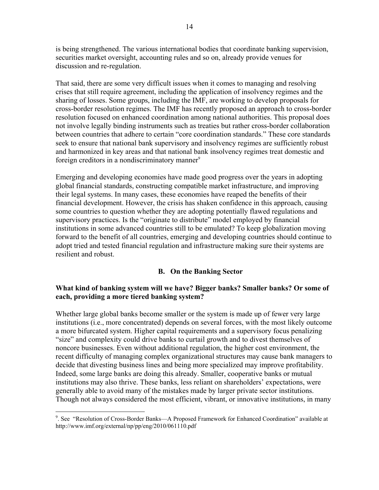is being strengthened. The various international bodies that coordinate banking supervision, securities market oversight, accounting rules and so on, already provide venues for discussion and re-regulation.

That said, there are some very difficult issues when it comes to managing and resolving crises that still require agreement, including the application of insolvency regimes and the sharing of losses. Some groups, including the IMF, are working to develop proposals for cross-border resolution regimes. The IMF has recently proposed an approach to cross-border resolution focused on enhanced coordination among national authorities. This proposal does not involve legally binding instruments such as treaties but rather cross-border collaboration between countries that adhere to certain "core coordination standards." These core standards seek to ensure that national bank supervisory and insolvency regimes are sufficiently robust and harmonized in key areas and that national bank insolvency regimes treat domestic and foreign creditors in a nondiscriminatory manner<sup>9</sup>

Emerging and developing economies have made good progress over the years in adopting global financial standards, constructing compatible market infrastructure, and improving their legal systems. In many cases, these economies have reaped the benefits of their financial development. However, the crisis has shaken confidence in this approach, causing some countries to question whether they are adopting potentially flawed regulations and supervisory practices. Is the "originate to distribute" model employed by financial institutions in some advanced countries still to be emulated? To keep globalization moving forward to the benefit of all countries, emerging and developing countries should continue to adopt tried and tested financial regulation and infrastructure making sure their systems are resilient and robust.

## **B. On the Banking Sector**

# **What kind of banking system will we have? Bigger banks? Smaller banks? Or some of each, providing a more tiered banking system?**

Whether large global banks become smaller or the system is made up of fewer very large institutions (i.e., more concentrated) depends on several forces, with the most likely outcome a more bifurcated system. Higher capital requirements and a supervisory focus penalizing "size" and complexity could drive banks to curtail growth and to divest themselves of noncore businesses. Even without additional regulation, the higher cost environment, the recent difficulty of managing complex organizational structures may cause bank managers to decide that divesting business lines and being more specialized may improve profitability. Indeed, some large banks are doing this already. Smaller, cooperative banks or mutual institutions may also thrive. These banks, less reliant on shareholders' expectations, were generally able to avoid many of the mistakes made by larger private sector institutions. Though not always considered the most efficient, vibrant, or innovative institutions, in many

 $\overline{a}$ <sup>9</sup>. See "Resolution of Cross-Border Banks—A Proposed Framework for Enhanced Coordination" available at http://www.imf.org/external/np/pp/eng/2010/061110.pdf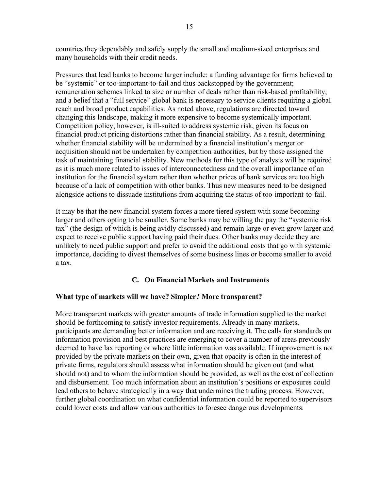countries they dependably and safely supply the small and medium-sized enterprises and many households with their credit needs.

Pressures that lead banks to become larger include: a funding advantage for firms believed to be "systemic" or too-important-to-fail and thus backstopped by the government; remuneration schemes linked to size or number of deals rather than risk-based profitability; and a belief that a "full service" global bank is necessary to service clients requiring a global reach and broad product capabilities. As noted above, regulations are directed toward changing this landscape, making it more expensive to become systemically important. Competition policy, however, is ill-suited to address systemic risk, given its focus on financial product pricing distortions rather than financial stability. As a result, determining whether financial stability will be undermined by a financial institution's merger or acquisition should not be undertaken by competition authorities, but by those assigned the task of maintaining financial stability. New methods for this type of analysis will be required as it is much more related to issues of interconnectedness and the overall importance of an institution for the financial system rather than whether prices of bank services are too high because of a lack of competition with other banks. Thus new measures need to be designed alongside actions to dissuade institutions from acquiring the status of too-important-to-fail.

It may be that the new financial system forces a more tiered system with some becoming larger and others opting to be smaller. Some banks may be willing the pay the "systemic risk tax" (the design of which is being avidly discussed) and remain large or even grow larger and expect to receive public support having paid their dues. Other banks may decide they are unlikely to need public support and prefer to avoid the additional costs that go with systemic importance, deciding to divest themselves of some business lines or become smaller to avoid a tax.

# **C. On Financial Markets and Instruments**

## **What type of markets will we have? Simpler? More transparent?**

More transparent markets with greater amounts of trade information supplied to the market should be forthcoming to satisfy investor requirements. Already in many markets, participants are demanding better information and are receiving it. The calls for standards on information provision and best practices are emerging to cover a number of areas previously deemed to have lax reporting or where little information was available. If improvement is not provided by the private markets on their own, given that opacity is often in the interest of private firms, regulators should assess what information should be given out (and what should not) and to whom the information should be provided, as well as the cost of collection and disbursement. Too much information about an institution's positions or exposures could lead others to behave strategically in a way that undermines the trading process. However, further global coordination on what confidential information could be reported to supervisors could lower costs and allow various authorities to foresee dangerous developments.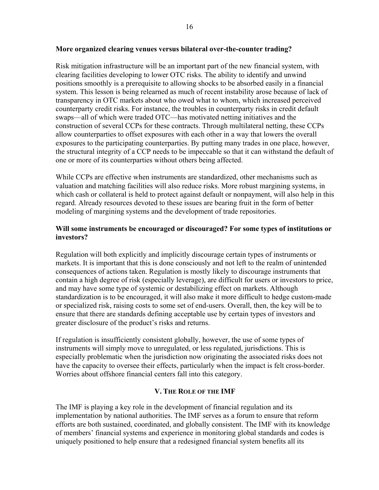#### **More organized clearing venues versus bilateral over-the-counter trading?**

Risk mitigation infrastructure will be an important part of the new financial system, with clearing facilities developing to lower OTC risks. The ability to identify and unwind positions smoothly is a prerequisite to allowing shocks to be absorbed easily in a financial system. This lesson is being relearned as much of recent instability arose because of lack of transparency in OTC markets about who owed what to whom, which increased perceived counterparty credit risks. For instance, the troubles in counterparty risks in credit default swaps—all of which were traded OTC—has motivated netting initiatives and the construction of several CCPs for these contracts. Through multilateral netting, these CCPs allow counterparties to offset exposures with each other in a way that lowers the overall exposures to the participating counterparties. By putting many trades in one place, however, the structural integrity of a CCP needs to be impeccable so that it can withstand the default of one or more of its counterparties without others being affected.

While CCPs are effective when instruments are standardized, other mechanisms such as valuation and matching facilities will also reduce risks. More robust margining systems, in which cash or collateral is held to protect against default or nonpayment, will also help in this regard. Already resources devoted to these issues are bearing fruit in the form of better modeling of margining systems and the development of trade repositories.

## **Will some instruments be encouraged or discouraged? For some types of institutions or investors?**

Regulation will both explicitly and implicitly discourage certain types of instruments or markets. It is important that this is done consciously and not left to the realm of unintended consequences of actions taken. Regulation is mostly likely to discourage instruments that contain a high degree of risk (especially leverage), are difficult for users or investors to price, and may have some type of systemic or destabilizing effect on markets. Although standardization is to be encouraged, it will also make it more difficult to hedge custom-made or specialized risk, raising costs to some set of end-users. Overall, then, the key will be to ensure that there are standards defining acceptable use by certain types of investors and greater disclosure of the product's risks and returns.

If regulation is insufficiently consistent globally, however, the use of some types of instruments will simply move to unregulated, or less regulated, jurisdictions. This is especially problematic when the jurisdiction now originating the associated risks does not have the capacity to oversee their effects, particularly when the impact is felt cross-border. Worries about offshore financial centers fall into this category.

## **V. THE ROLE OF THE IMF**

The IMF is playing a key role in the development of financial regulation and its implementation by national authorities. The IMF serves as a forum to ensure that reform efforts are both sustained, coordinated, and globally consistent. The IMF with its knowledge of members' financial systems and experience in monitoring global standards and codes is uniquely positioned to help ensure that a redesigned financial system benefits all its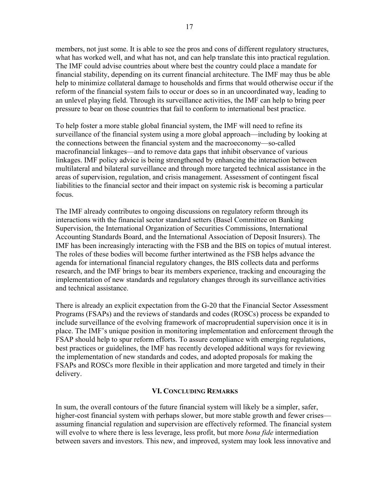members, not just some. It is able to see the pros and cons of different regulatory structures, what has worked well, and what has not, and can help translate this into practical regulation. The IMF could advise countries about where best the country could place a mandate for financial stability, depending on its current financial architecture. The IMF may thus be able help to minimize collateral damage to households and firms that would otherwise occur if the reform of the financial system fails to occur or does so in an uncoordinated way, leading to an unlevel playing field. Through its surveillance activities, the IMF can help to bring peer pressure to bear on those countries that fail to conform to international best practice.

To help foster a more stable global financial system, the IMF will need to refine its surveillance of the financial system using a more global approach—including by looking at the connections between the financial system and the macroeconomy—so-called macrofinancial linkages—and to remove data gaps that inhibit observance of various linkages. IMF policy advice is being strengthened by enhancing the interaction between multilateral and bilateral surveillance and through more targeted technical assistance in the areas of supervision, regulation, and crisis management. Assessment of contingent fiscal liabilities to the financial sector and their impact on systemic risk is becoming a particular focus.

The IMF already contributes to ongoing discussions on regulatory reform through its interactions with the financial sector standard setters (Basel Committee on Banking Supervision, the International Organization of Securities Commissions, International Accounting Standards Board, and the International Association of Deposit Insurers). The IMF has been increasingly interacting with the FSB and the BIS on topics of mutual interest. The roles of these bodies will become further intertwined as the FSB helps advance the agenda for international financial regulatory changes, the BIS collects data and performs research, and the IMF brings to bear its members experience, tracking and encouraging the implementation of new standards and regulatory changes through its surveillance activities and technical assistance.

There is already an explicit expectation from the G-20 that the Financial Sector Assessment Programs (FSAPs) and the reviews of standards and codes (ROSCs) process be expanded to include surveillance of the evolving framework of macroprudential supervision once it is in place. The IMF's unique position in monitoring implementation and enforcement through the FSAP should help to spur reform efforts. To assure compliance with emerging regulations, best practices or guidelines, the IMF has recently developed additional ways for reviewing the implementation of new standards and codes, and adopted proposals for making the FSAPs and ROSCs more flexible in their application and more targeted and timely in their delivery.

#### **VI. CONCLUDING REMARKS**

In sum, the overall contours of the future financial system will likely be a simpler, safer, higher-cost financial system with perhaps slower, but more stable growth and fewer crises assuming financial regulation and supervision are effectively reformed. The financial system will evolve to where there is less leverage, less profit, but more *bona fide* intermediation between savers and investors. This new, and improved, system may look less innovative and